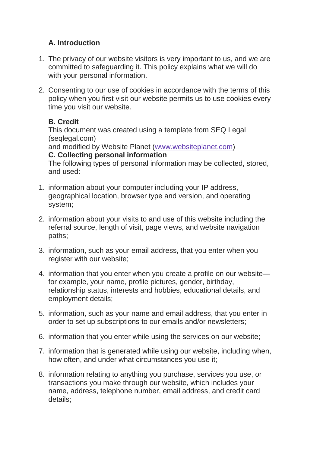# **A. Introduction**

- 1. The privacy of our website visitors is very important to us, and we are committed to safeguarding it. This policy explains what we will do with your personal information.
- 2. Consenting to our use of cookies in accordance with the terms of this policy when you first visit our website permits us to use cookies every time you visit our website.

# **B. Credit**

This document was created using a template from SEQ Legal (seqlegal.com) and modified by Website Planet [\(www.websiteplanet.com\)](https://www.websiteplanet.com/)

### **C. Collecting personal information**

The following types of personal information may be collected, stored, and used:

- 1. information about your computer including your IP address, geographical location, browser type and version, and operating system;
- 2. information about your visits to and use of this website including the referral source, length of visit, page views, and website navigation paths;
- 3. information, such as your email address, that you enter when you register with our website:
- 4. information that you enter when you create a profile on our website for example, your name, profile pictures, gender, birthday, relationship status, interests and hobbies, educational details, and employment details;
- 5. information, such as your name and email address, that you enter in order to set up subscriptions to our emails and/or newsletters;
- 6. information that you enter while using the services on our website;
- 7. information that is generated while using our website, including when, how often, and under what circumstances you use it;
- 8. information relating to anything you purchase, services you use, or transactions you make through our website, which includes your name, address, telephone number, email address, and credit card details;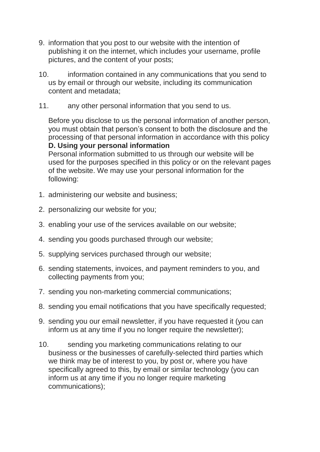- 9. information that you post to our website with the intention of publishing it on the internet, which includes your username, profile pictures, and the content of your posts;
- 10. information contained in any communications that you send to us by email or through our website, including its communication content and metadata;
- 11. any other personal information that you send to us.

Before you disclose to us the personal information of another person, you must obtain that person's consent to both the disclosure and the processing of that personal information in accordance with this policy **D. Using your personal information**

Personal information submitted to us through our website will be used for the purposes specified in this policy or on the relevant pages of the website. We may use your personal information for the following:

- 1. administering our website and business;
- 2. personalizing our website for you;
- 3. enabling your use of the services available on our website;
- 4. sending you goods purchased through our website;
- 5. supplying services purchased through our website;
- 6. sending statements, invoices, and payment reminders to you, and collecting payments from you;
- 7. sending you non-marketing commercial communications;
- 8. sending you email notifications that you have specifically requested;
- 9. sending you our email newsletter, if you have requested it (you can inform us at any time if you no longer require the newsletter);
- 10. sending you marketing communications relating to our business or the businesses of carefully-selected third parties which we think may be of interest to you, by post or, where you have specifically agreed to this, by email or similar technology (you can inform us at any time if you no longer require marketing communications);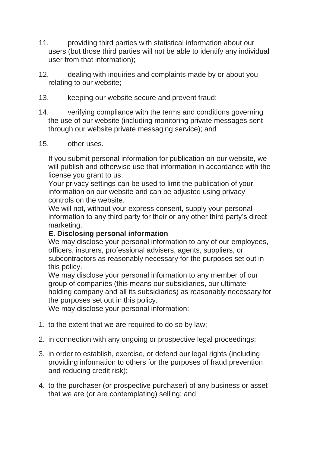- 11. providing third parties with statistical information about our users (but those third parties will not be able to identify any individual user from that information);
- 12. dealing with inquiries and complaints made by or about you relating to our website;
- 13. keeping our website secure and prevent fraud;
- 14. verifying compliance with the terms and conditions governing the use of our website (including monitoring private messages sent through our website private messaging service); and
- 15. other uses.

If you submit personal information for publication on our website, we will publish and otherwise use that information in accordance with the license you grant to us.

Your privacy settings can be used to limit the publication of your information on our website and can be adjusted using privacy controls on the website.

We will not, without your express consent, supply your personal information to any third party for their or any other third party's direct marketing.

#### **E. Disclosing personal information**

We may disclose your personal information to any of our employees, officers, insurers, professional advisers, agents, suppliers, or subcontractors as reasonably necessary for the purposes set out in this policy.

We may disclose your personal information to any member of our group of companies (this means our subsidiaries, our ultimate holding company and all its subsidiaries) as reasonably necessary for the purposes set out in this policy.

We may disclose your personal information:

- 1. to the extent that we are required to do so by law;
- 2. in connection with any ongoing or prospective legal proceedings;
- 3. in order to establish, exercise, or defend our legal rights (including providing information to others for the purposes of fraud prevention and reducing credit risk);
- 4. to the purchaser (or prospective purchaser) of any business or asset that we are (or are contemplating) selling; and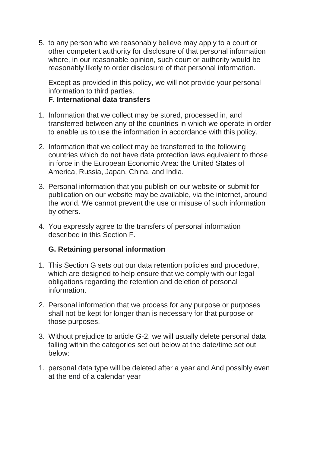5. to any person who we reasonably believe may apply to a court or other competent authority for disclosure of that personal information where, in our reasonable opinion, such court or authority would be reasonably likely to order disclosure of that personal information.

Except as provided in this policy, we will not provide your personal information to third parties.

#### **F. International data transfers**

- 1. Information that we collect may be stored, processed in, and transferred between any of the countries in which we operate in order to enable us to use the information in accordance with this policy.
- 2. Information that we collect may be transferred to the following countries which do not have data protection laws equivalent to those in force in the European Economic Area: the United States of America, Russia, Japan, China, and India.
- 3. Personal information that you publish on our website or submit for publication on our website may be available, via the internet, around the world. We cannot prevent the use or misuse of such information by others.
- 4. You expressly agree to the transfers of personal information described in this Section F.

# **G. Retaining personal information**

- 1. This Section G sets out our data retention policies and procedure, which are designed to help ensure that we comply with our legal obligations regarding the retention and deletion of personal information.
- 2. Personal information that we process for any purpose or purposes shall not be kept for longer than is necessary for that purpose or those purposes.
- 3. Without prejudice to article G-2, we will usually delete personal data falling within the categories set out below at the date/time set out below:
- 1. personal data type will be deleted after a year and And possibly even at the end of a calendar year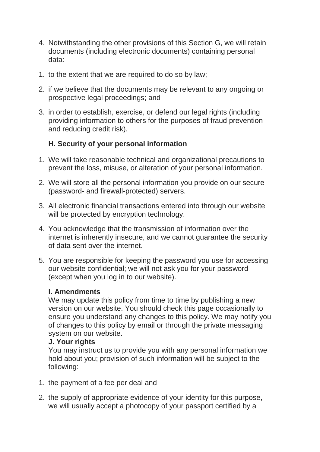- 4. Notwithstanding the other provisions of this Section G, we will retain documents (including electronic documents) containing personal data:
- 1. to the extent that we are required to do so by law;
- 2. if we believe that the documents may be relevant to any ongoing or prospective legal proceedings; and
- 3. in order to establish, exercise, or defend our legal rights (including providing information to others for the purposes of fraud prevention and reducing credit risk).

# **H. Security of your personal information**

- 1. We will take reasonable technical and organizational precautions to prevent the loss, misuse, or alteration of your personal information.
- 2. We will store all the personal information you provide on our secure (password- and firewall-protected) servers.
- 3. All electronic financial transactions entered into through our website will be protected by encryption technology.
- 4. You acknowledge that the transmission of information over the internet is inherently insecure, and we cannot guarantee the security of data sent over the internet.
- 5. You are responsible for keeping the password you use for accessing our website confidential; we will not ask you for your password (except when you log in to our website).

# **I. Amendments**

We may update this policy from time to time by publishing a new version on our website. You should check this page occasionally to ensure you understand any changes to this policy. We may notify you of changes to this policy by email or through the private messaging system on our website.

#### **J. Your rights**

You may instruct us to provide you with any personal information we hold about you; provision of such information will be subject to the following:

- 1. the payment of a fee per deal and
- 2. the supply of appropriate evidence of your identity for this purpose, we will usually accept a photocopy of your passport certified by a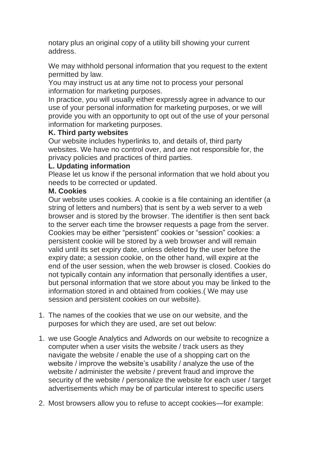notary plus an original copy of a utility bill showing your current address.

We may withhold personal information that you request to the extent permitted by law.

You may instruct us at any time not to process your personal information for marketing purposes.

In practice, you will usually either expressly agree in advance to our use of your personal information for marketing purposes, or we will provide you with an opportunity to opt out of the use of your personal information for marketing purposes.

### **K. Third party websites**

Our website includes hyperlinks to, and details of, third party websites. We have no control over, and are not responsible for, the privacy policies and practices of third parties.

### **L. Updating information**

Please let us know if the personal information that we hold about you needs to be corrected or updated.

### **M. Cookies**

Our website uses cookies. A cookie is a file containing an identifier (a string of letters and numbers) that is sent by a web server to a web browser and is stored by the browser. The identifier is then sent back to the server each time the browser requests a page from the server. Cookies may be either "persistent" cookies or "session" cookies: a persistent cookie will be stored by a web browser and will remain valid until its set expiry date, unless deleted by the user before the expiry date; a session cookie, on the other hand, will expire at the end of the user session, when the web browser is closed. Cookies do not typically contain any information that personally identifies a user, but personal information that we store about you may be linked to the information stored in and obtained from cookies.( We may use session and persistent cookies on our website).

- 1. The names of the cookies that we use on our website, and the purposes for which they are used, are set out below:
- 1. we use Google Analytics and Adwords on our website to recognize a computer when a user visits the website / track users as they navigate the website / enable the use of a shopping cart on the website / improve the website's usability / analyze the use of the website / administer the website / prevent fraud and improve the security of the website / personalize the website for each user / target advertisements which may be of particular interest to specific users
- 2. Most browsers allow you to refuse to accept cookies—for example: